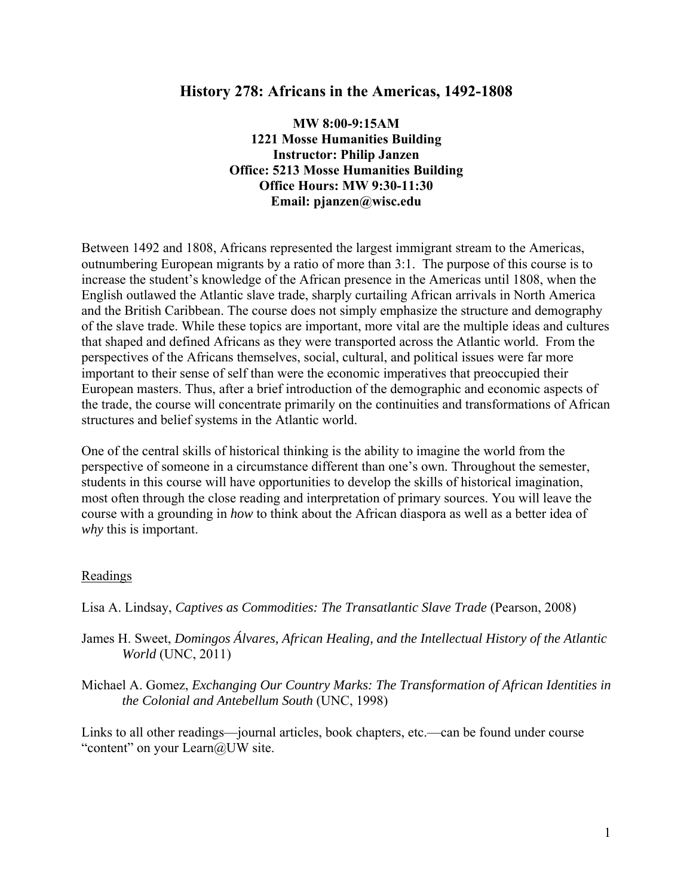# **History 278: Africans in the Americas, 1492-1808**

**MW 8:00-9:15AM 1221 Mosse Humanities Building Instructor: Philip Janzen Office: 5213 Mosse Humanities Building Office Hours: MW 9:30-11:30 Email: pjanzen@wisc.edu** 

Between 1492 and 1808, Africans represented the largest immigrant stream to the Americas, outnumbering European migrants by a ratio of more than 3:1. The purpose of this course is to increase the student's knowledge of the African presence in the Americas until 1808, when the English outlawed the Atlantic slave trade, sharply curtailing African arrivals in North America and the British Caribbean. The course does not simply emphasize the structure and demography of the slave trade. While these topics are important, more vital are the multiple ideas and cultures that shaped and defined Africans as they were transported across the Atlantic world. From the perspectives of the Africans themselves, social, cultural, and political issues were far more important to their sense of self than were the economic imperatives that preoccupied their European masters. Thus, after a brief introduction of the demographic and economic aspects of the trade, the course will concentrate primarily on the continuities and transformations of African structures and belief systems in the Atlantic world.

One of the central skills of historical thinking is the ability to imagine the world from the perspective of someone in a circumstance different than one's own. Throughout the semester, students in this course will have opportunities to develop the skills of historical imagination, most often through the close reading and interpretation of primary sources. You will leave the course with a grounding in *how* to think about the African diaspora as well as a better idea of *why* this is important.

### Readings

- Lisa A. Lindsay, *Captives as Commodities: The Transatlantic Slave Trade* (Pearson, 2008)
- James H. Sweet, *Domingos Álvares, African Healing, and the Intellectual History of the Atlantic World* (UNC, 2011)
- Michael A. Gomez, *Exchanging Our Country Marks: The Transformation of African Identities in the Colonial and Antebellum South* (UNC, 1998)

Links to all other readings—journal articles, book chapters, etc.—can be found under course "content" on your Learn@UW site.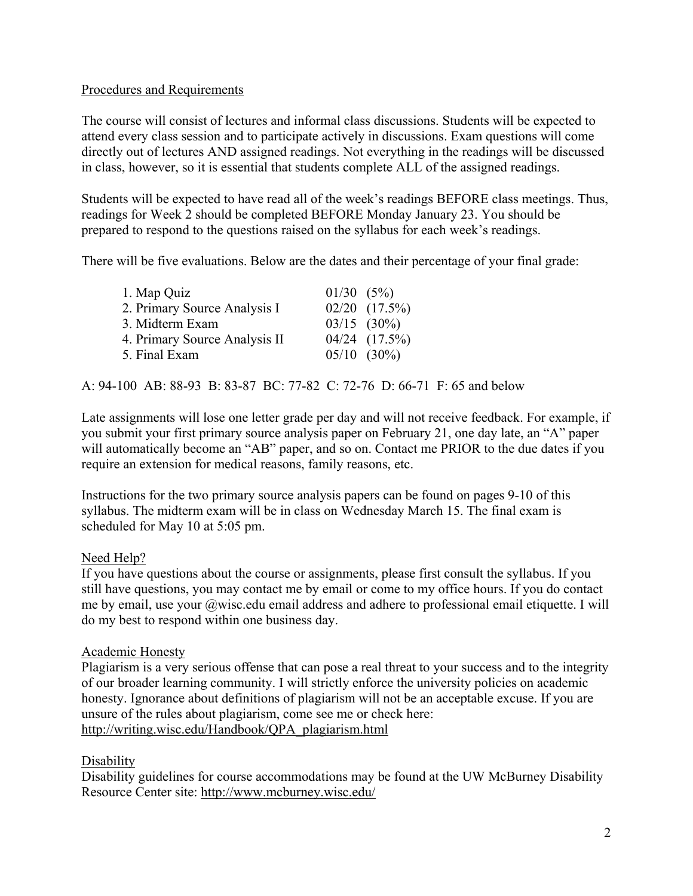# Procedures and Requirements

The course will consist of lectures and informal class discussions. Students will be expected to attend every class session and to participate actively in discussions. Exam questions will come directly out of lectures AND assigned readings. Not everything in the readings will be discussed in class, however, so it is essential that students complete ALL of the assigned readings.

Students will be expected to have read all of the week's readings BEFORE class meetings. Thus, readings for Week 2 should be completed BEFORE Monday January 23. You should be prepared to respond to the questions raised on the syllabus for each week's readings.

There will be five evaluations. Below are the dates and their percentage of your final grade:

| 1. Map Quiz                   | $01/30$ $(5\%)$ |                    |
|-------------------------------|-----------------|--------------------|
| 2. Primary Source Analysis I  |                 | $02/20$ $(17.5\%)$ |
| 3. Midterm Exam               |                 | $03/15$ $(30\%)$   |
| 4. Primary Source Analysis II |                 | $04/24$ $(17.5\%)$ |
| 5. Final Exam                 |                 | $05/10$ $(30\%)$   |

A: 94-100 AB: 88-93 B: 83-87 BC: 77-82 C: 72-76 D: 66-71 F: 65 and below

Late assignments will lose one letter grade per day and will not receive feedback. For example, if you submit your first primary source analysis paper on February 21, one day late, an "A" paper will automatically become an "AB" paper, and so on. Contact me PRIOR to the due dates if you require an extension for medical reasons, family reasons, etc.

Instructions for the two primary source analysis papers can be found on pages 9-10 of this syllabus. The midterm exam will be in class on Wednesday March 15. The final exam is scheduled for May 10 at 5:05 pm.

# Need Help?

If you have questions about the course or assignments, please first consult the syllabus. If you still have questions, you may contact me by email or come to my office hours. If you do contact me by email, use your @wisc.edu email address and adhere to professional email etiquette. I will do my best to respond within one business day.

### Academic Honesty

Plagiarism is a very serious offense that can pose a real threat to your success and to the integrity of our broader learning community. I will strictly enforce the university policies on academic honesty. Ignorance about definitions of plagiarism will not be an acceptable excuse. If you are unsure of the rules about plagiarism, come see me or check here: http://writing.wisc.edu/Handbook/QPA\_plagiarism.html

### **Disability**

Disability guidelines for course accommodations may be found at the UW McBurney Disability Resource Center site: http://www.mcburney.wisc.edu/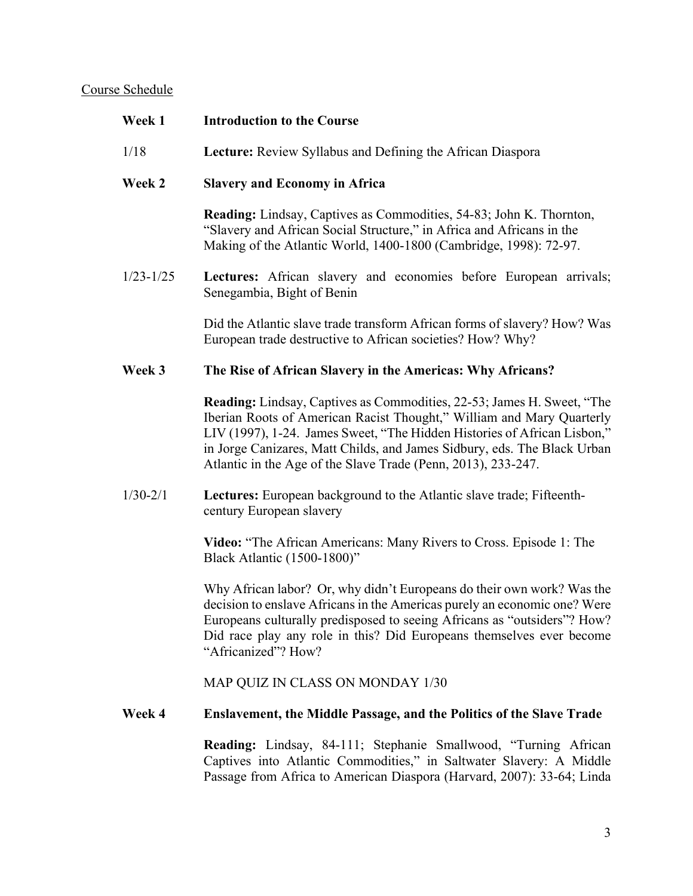# Course Schedule

| Week 1        | <b>Introduction to the Course</b>                                                                                                                                                                                                                                                                                                                                               |
|---------------|---------------------------------------------------------------------------------------------------------------------------------------------------------------------------------------------------------------------------------------------------------------------------------------------------------------------------------------------------------------------------------|
| 1/18          | Lecture: Review Syllabus and Defining the African Diaspora                                                                                                                                                                                                                                                                                                                      |
| Week 2        | <b>Slavery and Economy in Africa</b>                                                                                                                                                                                                                                                                                                                                            |
|               | <b>Reading:</b> Lindsay, Captives as Commodities, 54-83; John K. Thornton,<br>"Slavery and African Social Structure," in Africa and Africans in the<br>Making of the Atlantic World, 1400-1800 (Cambridge, 1998): 72-97.                                                                                                                                                        |
| $1/23 - 1/25$ | Lectures: African slavery and economies before European arrivals;<br>Senegambia, Bight of Benin                                                                                                                                                                                                                                                                                 |
|               | Did the Atlantic slave trade transform African forms of slavery? How? Was<br>European trade destructive to African societies? How? Why?                                                                                                                                                                                                                                         |
| Week 3        | The Rise of African Slavery in the Americas: Why Africans?                                                                                                                                                                                                                                                                                                                      |
|               | <b>Reading:</b> Lindsay, Captives as Commodities, 22-53; James H. Sweet, "The<br>Iberian Roots of American Racist Thought," William and Mary Quarterly<br>LIV (1997), 1-24. James Sweet, "The Hidden Histories of African Lisbon,"<br>in Jorge Canizares, Matt Childs, and James Sidbury, eds. The Black Urban<br>Atlantic in the Age of the Slave Trade (Penn, 2013), 233-247. |
| $1/30 - 2/1$  | Lectures: European background to the Atlantic slave trade; Fifteenth-<br>century European slavery                                                                                                                                                                                                                                                                               |
|               | Video: "The African Americans: Many Rivers to Cross. Episode 1: The<br>Black Atlantic (1500-1800)"                                                                                                                                                                                                                                                                              |
|               | Why African labor? Or, why didn't Europeans do their own work? Was the<br>decision to enslave Africans in the Americas purely an economic one? Were<br>Europeans culturally predisposed to seeing Africans as "outsiders"? How?<br>Did race play any role in this? Did Europeans themselves ever become<br>"Africanized"? How?                                                  |
|               | MAP QUIZ IN CLASS ON MONDAY 1/30                                                                                                                                                                                                                                                                                                                                                |
| Week 4        | <b>Enslavement, the Middle Passage, and the Politics of the Slave Trade</b>                                                                                                                                                                                                                                                                                                     |
|               | Reading: Lindsay, 84-111; Stephanie Smallwood, "Turning African<br>Captives into Atlantic Commodities," in Saltwater Slavery: A Middle<br>Passage from Africa to American Diaspora (Harvard, 2007): 33-64; Linda                                                                                                                                                                |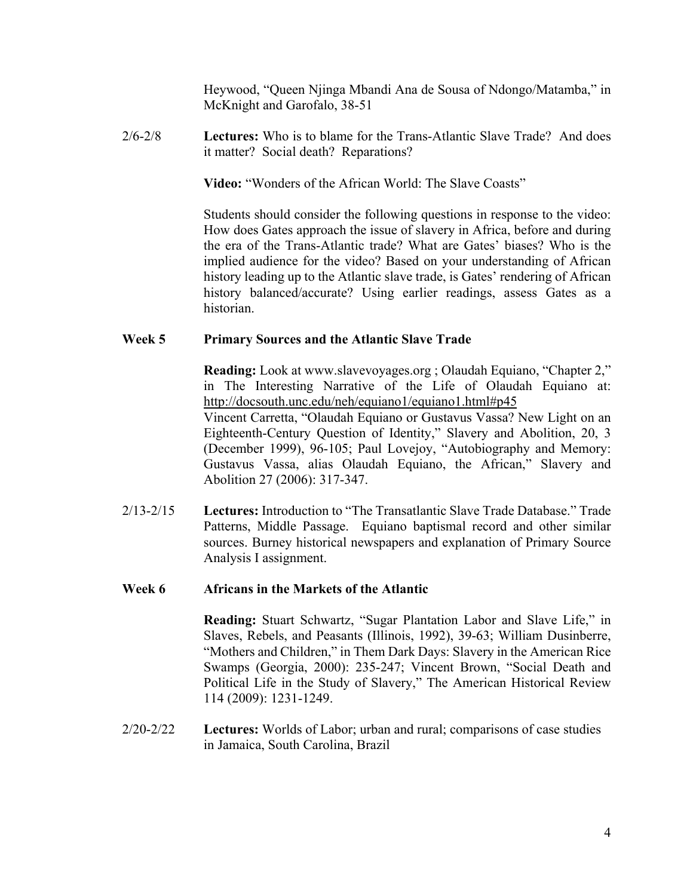Heywood, "Queen Njinga Mbandi Ana de Sousa of Ndongo/Matamba," in McKnight and Garofalo, 38-51

2/6-2/8 **Lectures:** Who is to blame for the Trans-Atlantic Slave Trade? And does it matter? Social death? Reparations?

**Video:** "Wonders of the African World: The Slave Coasts"

Students should consider the following questions in response to the video: How does Gates approach the issue of slavery in Africa, before and during the era of the Trans-Atlantic trade? What are Gates' biases? Who is the implied audience for the video? Based on your understanding of African history leading up to the Atlantic slave trade, is Gates' rendering of African history balanced/accurate? Using earlier readings, assess Gates as a historian.

### **Week 5 Primary Sources and the Atlantic Slave Trade**

**Reading:** Look at www.slavevoyages.org ; Olaudah Equiano, "Chapter 2," in The Interesting Narrative of the Life of Olaudah Equiano at: http://docsouth.unc.edu/neh/equiano1/equiano1.html#p45

Vincent Carretta, "Olaudah Equiano or Gustavus Vassa? New Light on an Eighteenth-Century Question of Identity," Slavery and Abolition, 20, 3 (December 1999), 96-105; Paul Lovejoy, "Autobiography and Memory: Gustavus Vassa, alias Olaudah Equiano, the African," Slavery and Abolition 27 (2006): 317-347.

2/13-2/15 **Lectures:** Introduction to "The Transatlantic Slave Trade Database." Trade Patterns, Middle Passage. Equiano baptismal record and other similar sources. Burney historical newspapers and explanation of Primary Source Analysis I assignment.

### **Week 6 Africans in the Markets of the Atlantic**

**Reading:** Stuart Schwartz, "Sugar Plantation Labor and Slave Life," in Slaves, Rebels, and Peasants (Illinois, 1992), 39-63; William Dusinberre, "Mothers and Children," in Them Dark Days: Slavery in the American Rice Swamps (Georgia, 2000): 235-247; Vincent Brown, "Social Death and Political Life in the Study of Slavery," The American Historical Review 114 (2009): 1231-1249.

2/20-2/22 **Lectures:** Worlds of Labor; urban and rural; comparisons of case studies in Jamaica, South Carolina, Brazil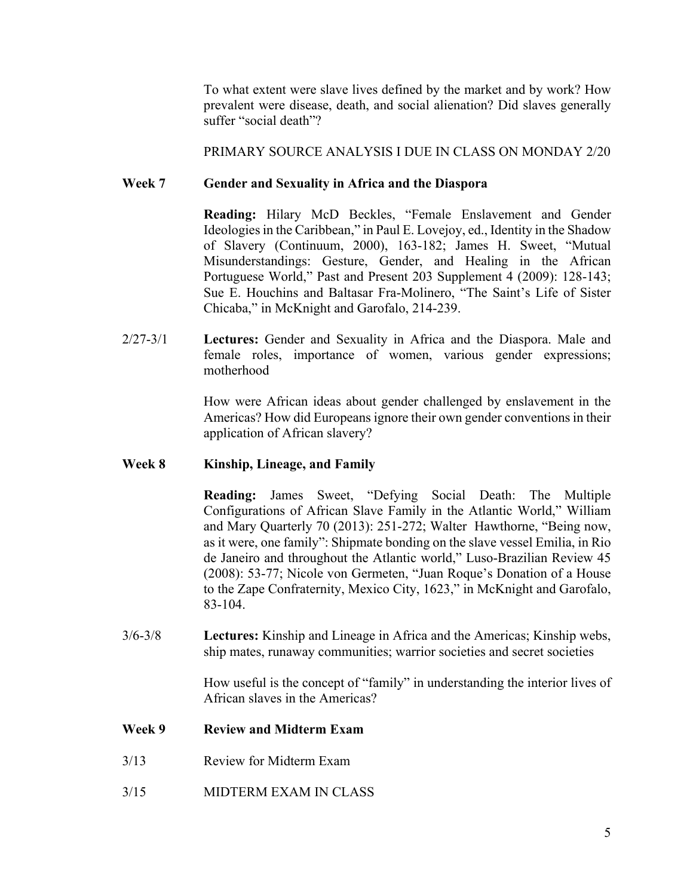To what extent were slave lives defined by the market and by work? How prevalent were disease, death, and social alienation? Did slaves generally suffer "social death"?

PRIMARY SOURCE ANALYSIS I DUE IN CLASS ON MONDAY 2/20

# **Week 7 Gender and Sexuality in Africa and the Diaspora**

**Reading:** Hilary McD Beckles, "Female Enslavement and Gender Ideologies in the Caribbean," in Paul E. Lovejoy, ed., Identity in the Shadow of Slavery (Continuum, 2000), 163-182; James H. Sweet, "Mutual Misunderstandings: Gesture, Gender, and Healing in the African Portuguese World," Past and Present 203 Supplement 4 (2009): 128-143; Sue E. Houchins and Baltasar Fra-Molinero, "The Saint's Life of Sister Chicaba," in McKnight and Garofalo, 214-239.

2/27-3/1 **Lectures:** Gender and Sexuality in Africa and the Diaspora. Male and female roles, importance of women, various gender expressions; motherhood

> How were African ideas about gender challenged by enslavement in the Americas? How did Europeans ignore their own gender conventions in their application of African slavery?

# **Week 8 Kinship, Lineage, and Family**

**Reading:** James Sweet, "Defying Social Death: The Multiple Configurations of African Slave Family in the Atlantic World," William and Mary Quarterly 70 (2013): 251-272; Walter Hawthorne, "Being now, as it were, one family": Shipmate bonding on the slave vessel Emilia, in Rio de Janeiro and throughout the Atlantic world," Luso-Brazilian Review 45 (2008): 53-77; Nicole von Germeten, "Juan Roque's Donation of a House to the Zape Confraternity, Mexico City, 1623," in McKnight and Garofalo, 83-104.

3/6-3/8 **Lectures:** Kinship and Lineage in Africa and the Americas; Kinship webs, ship mates, runaway communities; warrior societies and secret societies

> How useful is the concept of "family" in understanding the interior lives of African slaves in the Americas?

# **Week 9 Review and Midterm Exam**

- 3/13 Review for Midterm Exam
- 3/15 MIDTERM EXAM IN CLASS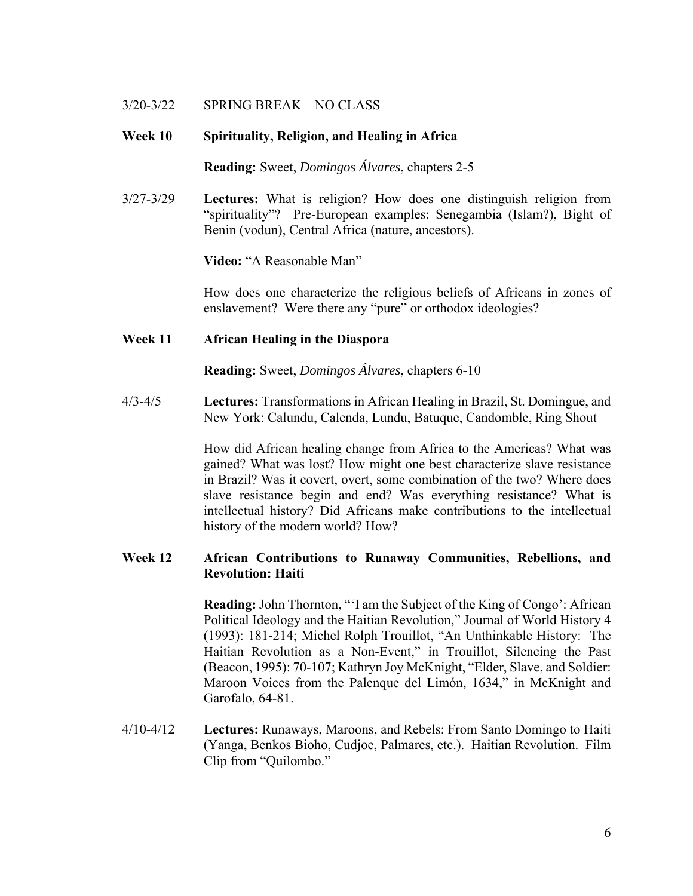## 3/20-3/22 SPRING BREAK – NO CLASS

### **Week 10 Spirituality, Religion, and Healing in Africa**

**Reading:** Sweet, *Domingos Álvares*, chapters 2-5

3/27-3/29 **Lectures:** What is religion? How does one distinguish religion from "spirituality"? Pre-European examples: Senegambia (Islam?), Bight of Benin (vodun), Central Africa (nature, ancestors).

**Video:** "A Reasonable Man"

 How does one characterize the religious beliefs of Africans in zones of enslavement? Were there any "pure" or orthodox ideologies?

### **Week 11 African Healing in the Diaspora**

**Reading:** Sweet, *Domingos Álvares*, chapters 6-10

4/3-4/5 **Lectures:** Transformations in African Healing in Brazil, St. Domingue, and New York: Calundu, Calenda, Lundu, Batuque, Candomble, Ring Shout

> How did African healing change from Africa to the Americas? What was gained? What was lost? How might one best characterize slave resistance in Brazil? Was it covert, overt, some combination of the two? Where does slave resistance begin and end? Was everything resistance? What is intellectual history? Did Africans make contributions to the intellectual history of the modern world? How?

# **Week 12 African Contributions to Runaway Communities, Rebellions, and Revolution: Haiti**

**Reading:** John Thornton, "'I am the Subject of the King of Congo': African Political Ideology and the Haitian Revolution," Journal of World History 4 (1993): 181-214; Michel Rolph Trouillot, "An Unthinkable History: The Haitian Revolution as a Non-Event," in Trouillot, Silencing the Past (Beacon, 1995): 70-107; Kathryn Joy McKnight, "Elder, Slave, and Soldier: Maroon Voices from the Palenque del Limón, 1634," in McKnight and Garofalo, 64-81.

4/10-4/12 **Lectures:** Runaways, Maroons, and Rebels: From Santo Domingo to Haiti (Yanga, Benkos Bioho, Cudjoe, Palmares, etc.). Haitian Revolution. Film Clip from "Quilombo."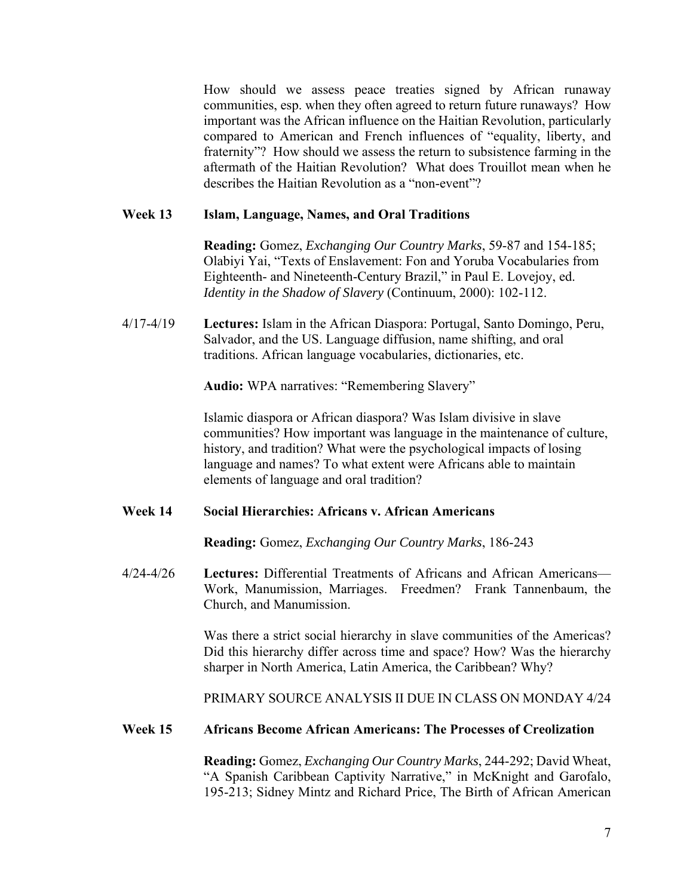How should we assess peace treaties signed by African runaway communities, esp. when they often agreed to return future runaways? How important was the African influence on the Haitian Revolution, particularly compared to American and French influences of "equality, liberty, and fraternity"? How should we assess the return to subsistence farming in the aftermath of the Haitian Revolution? What does Trouillot mean when he describes the Haitian Revolution as a "non-event"?

#### **Week 13 Islam, Language, Names, and Oral Traditions**

**Reading:** Gomez, *Exchanging Our Country Marks*, 59-87 and 154-185; Olabiyi Yai, "Texts of Enslavement: Fon and Yoruba Vocabularies from Eighteenth- and Nineteenth-Century Brazil," in Paul E. Lovejoy, ed. *Identity in the Shadow of Slavery* (Continuum, 2000): 102-112.

4/17-4/19 **Lectures:** Islam in the African Diaspora: Portugal, Santo Domingo, Peru, Salvador, and the US. Language diffusion, name shifting, and oral traditions. African language vocabularies, dictionaries, etc.

**Audio:** WPA narratives: "Remembering Slavery"

 Islamic diaspora or African diaspora? Was Islam divisive in slave communities? How important was language in the maintenance of culture, history, and tradition? What were the psychological impacts of losing language and names? To what extent were Africans able to maintain elements of language and oral tradition?

### **Week 14 Social Hierarchies: Africans v. African Americans**

**Reading:** Gomez, *Exchanging Our Country Marks*, 186-243

4/24-4/26 **Lectures:** Differential Treatments of Africans and African Americans— Work, Manumission, Marriages. Freedmen? Frank Tannenbaum, the Church, and Manumission.

> Was there a strict social hierarchy in slave communities of the Americas? Did this hierarchy differ across time and space? How? Was the hierarchy sharper in North America, Latin America, the Caribbean? Why?

> PRIMARY SOURCE ANALYSIS II DUE IN CLASS ON MONDAY 4/24

#### **Week 15 Africans Become African Americans: The Processes of Creolization**

**Reading:** Gomez, *Exchanging Our Country Marks*, 244-292; David Wheat, "A Spanish Caribbean Captivity Narrative," in McKnight and Garofalo, 195-213; Sidney Mintz and Richard Price, The Birth of African American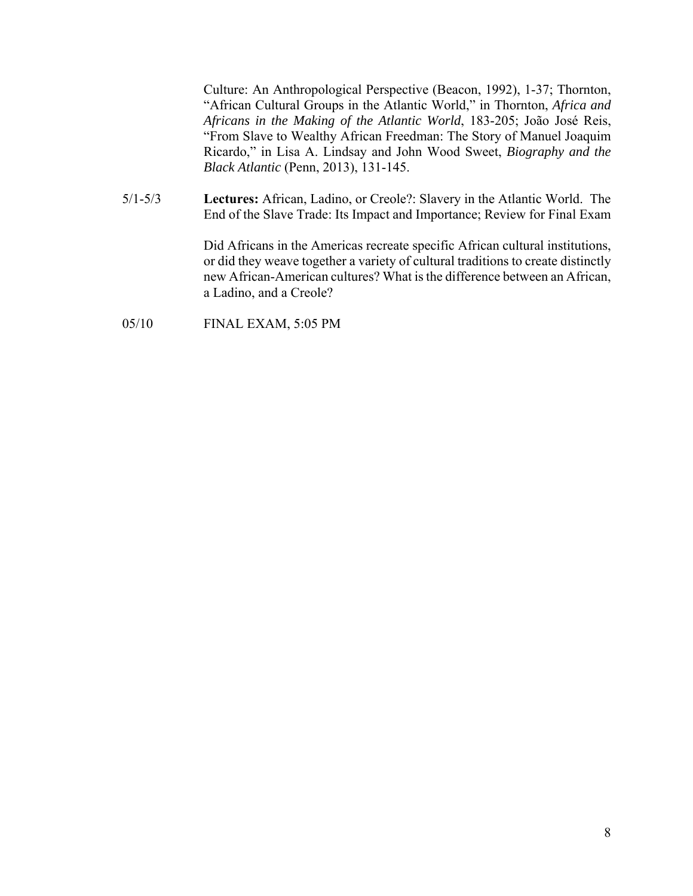Culture: An Anthropological Perspective (Beacon, 1992), 1-37; Thornton, "African Cultural Groups in the Atlantic World," in Thornton, *Africa and Africans in the Making of the Atlantic World*, 183-205; João José Reis, "From Slave to Wealthy African Freedman: The Story of Manuel Joaquim Ricardo," in Lisa A. Lindsay and John Wood Sweet, *Biography and the Black Atlantic* (Penn, 2013), 131-145.

5/1-5/3 **Lectures:** African, Ladino, or Creole?: Slavery in the Atlantic World. The End of the Slave Trade: Its Impact and Importance; Review for Final Exam

> Did Africans in the Americas recreate specific African cultural institutions, or did they weave together a variety of cultural traditions to create distinctly new African-American cultures? What is the difference between an African, a Ladino, and a Creole?

05/10 FINAL EXAM, 5:05 PM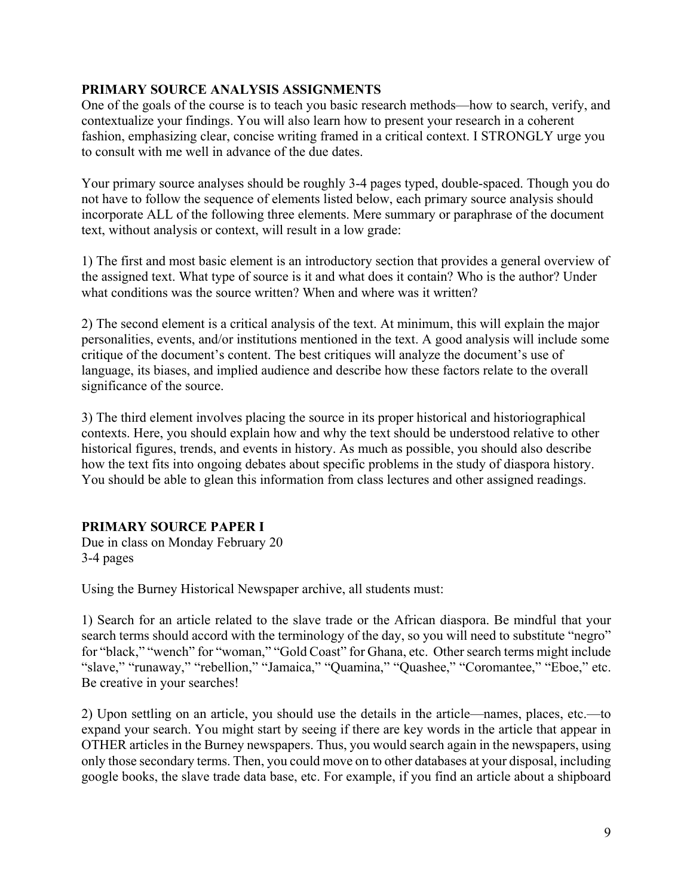# **PRIMARY SOURCE ANALYSIS ASSIGNMENTS**

One of the goals of the course is to teach you basic research methods—how to search, verify, and contextualize your findings. You will also learn how to present your research in a coherent fashion, emphasizing clear, concise writing framed in a critical context. I STRONGLY urge you to consult with me well in advance of the due dates.

Your primary source analyses should be roughly 3-4 pages typed, double-spaced. Though you do not have to follow the sequence of elements listed below, each primary source analysis should incorporate ALL of the following three elements. Mere summary or paraphrase of the document text, without analysis or context, will result in a low grade:

1) The first and most basic element is an introductory section that provides a general overview of the assigned text. What type of source is it and what does it contain? Who is the author? Under what conditions was the source written? When and where was it written?

2) The second element is a critical analysis of the text. At minimum, this will explain the major personalities, events, and/or institutions mentioned in the text. A good analysis will include some critique of the document's content. The best critiques will analyze the document's use of language, its biases, and implied audience and describe how these factors relate to the overall significance of the source.

3) The third element involves placing the source in its proper historical and historiographical contexts. Here, you should explain how and why the text should be understood relative to other historical figures, trends, and events in history. As much as possible, you should also describe how the text fits into ongoing debates about specific problems in the study of diaspora history. You should be able to glean this information from class lectures and other assigned readings.

# **PRIMARY SOURCE PAPER I**

Due in class on Monday February 20 3-4 pages

Using the Burney Historical Newspaper archive, all students must:

1) Search for an article related to the slave trade or the African diaspora. Be mindful that your search terms should accord with the terminology of the day, so you will need to substitute "negro" for "black," "wench" for "woman," "Gold Coast" for Ghana, etc. Other search terms might include "slave," "runaway," "rebellion," "Jamaica," "Quamina," "Quashee," "Coromantee," "Eboe," etc. Be creative in your searches!

2) Upon settling on an article, you should use the details in the article—names, places, etc.—to expand your search. You might start by seeing if there are key words in the article that appear in OTHER articles in the Burney newspapers. Thus, you would search again in the newspapers, using only those secondary terms. Then, you could move on to other databases at your disposal, including google books, the slave trade data base, etc. For example, if you find an article about a shipboard